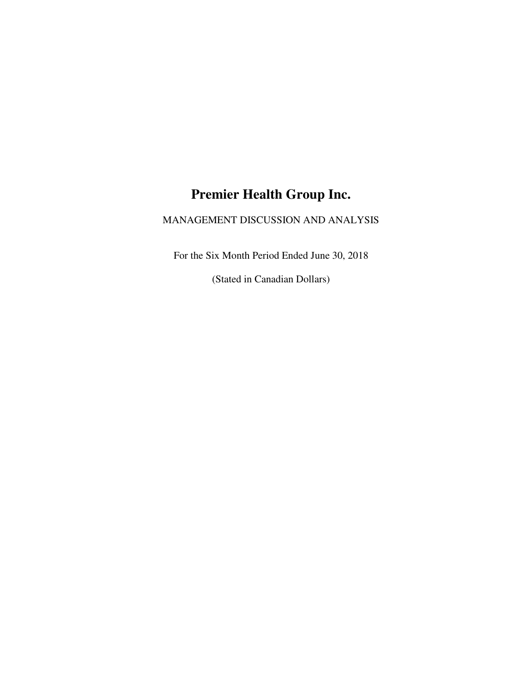# **Premier Health Group Inc.**

# MANAGEMENT DISCUSSION AND ANALYSIS

For the Six Month Period Ended June 30, 2018

(Stated in Canadian Dollars)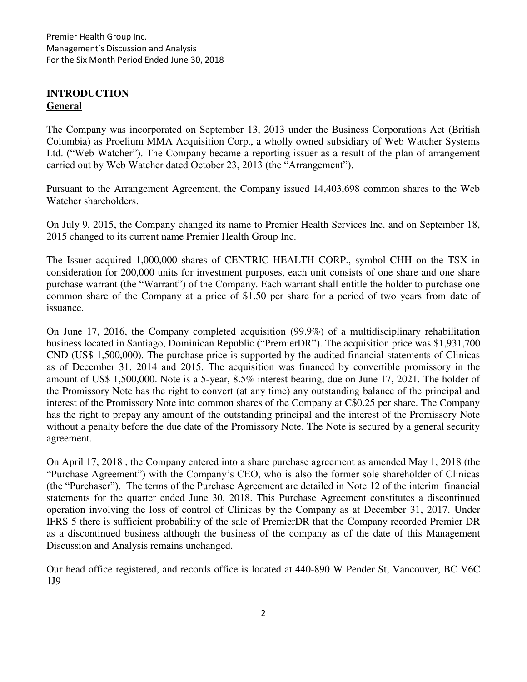# **INTRODUCTION General**

The Company was incorporated on September 13, 2013 under the Business Corporations Act (British Columbia) as Proelium MMA Acquisition Corp., a wholly owned subsidiary of Web Watcher Systems Ltd. ("Web Watcher"). The Company became a reporting issuer as a result of the plan of arrangement carried out by Web Watcher dated October 23, 2013 (the "Arrangement").

Pursuant to the Arrangement Agreement, the Company issued 14,403,698 common shares to the Web Watcher shareholders.

On July 9, 2015, the Company changed its name to Premier Health Services Inc. and on September 18, 2015 changed to its current name Premier Health Group Inc.

The Issuer acquired 1,000,000 shares of CENTRIC HEALTH CORP., symbol CHH on the TSX in consideration for 200,000 units for investment purposes, each unit consists of one share and one share purchase warrant (the "Warrant") of the Company. Each warrant shall entitle the holder to purchase one common share of the Company at a price of \$1.50 per share for a period of two years from date of issuance.

On June 17, 2016, the Company completed acquisition (99.9%) of a multidisciplinary rehabilitation business located in Santiago, Dominican Republic ("PremierDR"). The acquisition price was \$1,931,700 CND (US\$ 1,500,000). The purchase price is supported by the audited financial statements of Clinicas as of December 31, 2014 and 2015. The acquisition was financed by convertible promissory in the amount of US\$ 1,500,000. Note is a 5-year, 8.5% interest bearing, due on June 17, 2021. The holder of the Promissory Note has the right to convert (at any time) any outstanding balance of the principal and interest of the Promissory Note into common shares of the Company at C\$0.25 per share. The Company has the right to prepay any amount of the outstanding principal and the interest of the Promissory Note without a penalty before the due date of the Promissory Note. The Note is secured by a general security agreement.

On April 17, 2018 , the Company entered into a share purchase agreement as amended May 1, 2018 (the "Purchase Agreement") with the Company's CEO, who is also the former sole shareholder of Clinicas (the "Purchaser"). The terms of the Purchase Agreement are detailed in Note 12 of the interim financial statements for the quarter ended June 30, 2018. This Purchase Agreement constitutes a discontinued operation involving the loss of control of Clinicas by the Company as at December 31, 2017. Under IFRS 5 there is sufficient probability of the sale of PremierDR that the Company recorded Premier DR as a discontinued business although the business of the company as of the date of this Management Discussion and Analysis remains unchanged.

Our head office registered, and records office is located at 440-890 W Pender St, Vancouver, BC V6C 1J9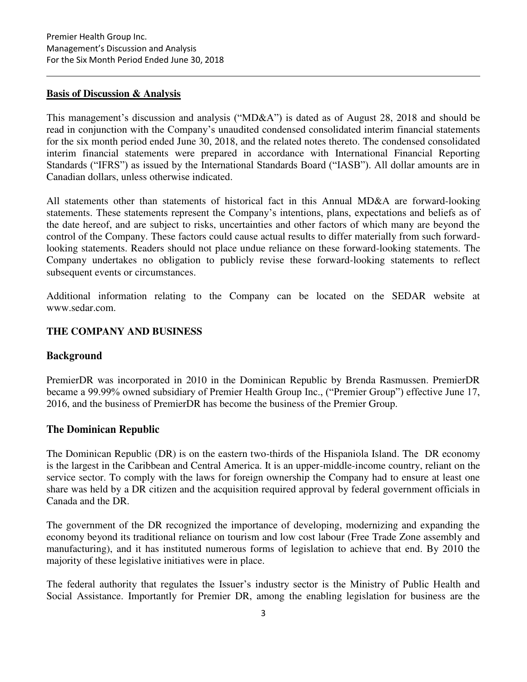### **Basis of Discussion & Analysis**

This management's discussion and analysis ("MD&A") is dated as of August 28, 2018 and should be read in conjunction with the Company's unaudited condensed consolidated interim financial statements for the six month period ended June 30, 2018, and the related notes thereto. The condensed consolidated interim financial statements were prepared in accordance with International Financial Reporting Standards ("IFRS") as issued by the International Standards Board ("IASB"). All dollar amounts are in Canadian dollars, unless otherwise indicated.

All statements other than statements of historical fact in this Annual MD&A are forward-looking statements. These statements represent the Company's intentions, plans, expectations and beliefs as of the date hereof, and are subject to risks, uncertainties and other factors of which many are beyond the control of the Company. These factors could cause actual results to differ materially from such forwardlooking statements. Readers should not place undue reliance on these forward-looking statements. The Company undertakes no obligation to publicly revise these forward-looking statements to reflect subsequent events or circumstances.

Additional information relating to the Company can be located on the SEDAR website at www.sedar.com.

# **THE COMPANY AND BUSINESS**

# **Background**

PremierDR was incorporated in 2010 in the Dominican Republic by Brenda Rasmussen. PremierDR became a 99.99% owned subsidiary of Premier Health Group Inc., ("Premier Group") effective June 17, 2016, and the business of PremierDR has become the business of the Premier Group.

# **The Dominican Republic**

The Dominican Republic (DR) is on the eastern two-thirds of the Hispaniola Island. The DR economy is the largest in the Caribbean and Central America. It is an upper-middle-income country, reliant on the service sector. To comply with the laws for foreign ownership the Company had to ensure at least one share was held by a DR citizen and the acquisition required approval by federal government officials in Canada and the DR.

The government of the DR recognized the importance of developing, modernizing and expanding the economy beyond its traditional reliance on tourism and low cost labour (Free Trade Zone assembly and manufacturing), and it has instituted numerous forms of legislation to achieve that end. By 2010 the majority of these legislative initiatives were in place.

The federal authority that regulates the Issuer's industry sector is the Ministry of Public Health and Social Assistance. Importantly for Premier DR, among the enabling legislation for business are the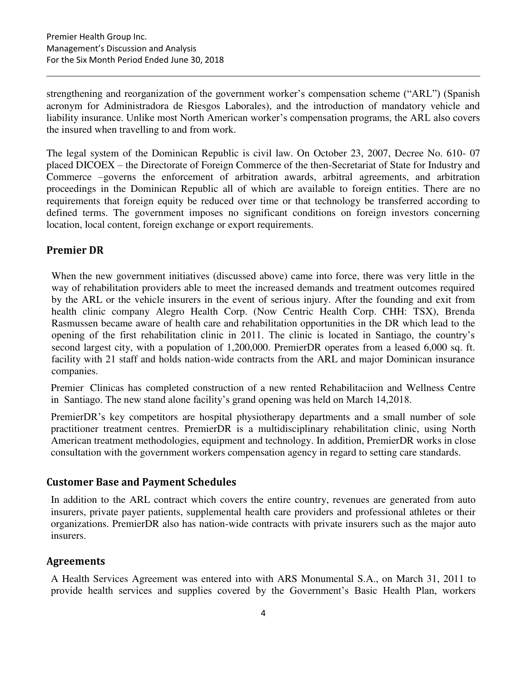strengthening and reorganization of the government worker's compensation scheme ("ARL") (Spanish acronym for Administradora de Riesgos Laborales), and the introduction of mandatory vehicle and liability insurance. Unlike most North American worker's compensation programs, the ARL also covers the insured when travelling to and from work.

The legal system of the Dominican Republic is civil law. On October 23, 2007, Decree No. 610- 07 placed DICOEX – the Directorate of Foreign Commerce of the then-Secretariat of State for Industry and Commerce –governs the enforcement of arbitration awards, arbitral agreements, and arbitration proceedings in the Dominican Republic all of which are available to foreign entities. There are no requirements that foreign equity be reduced over time or that technology be transferred according to defined terms. The government imposes no significant conditions on foreign investors concerning location, local content, foreign exchange or export requirements.

# **Premier DR**

When the new government initiatives (discussed above) came into force, there was very little in the way of rehabilitation providers able to meet the increased demands and treatment outcomes required by the ARL or the vehicle insurers in the event of serious injury. After the founding and exit from health clinic company Alegro Health Corp. (Now Centric Health Corp. CHH: TSX), Brenda Rasmussen became aware of health care and rehabilitation opportunities in the DR which lead to the opening of the first rehabilitation clinic in 2011. The clinic is located in Santiago, the country's second largest city, with a population of 1,200,000. PremierDR operates from a leased 6,000 sq. ft. facility with 21 staff and holds nation-wide contracts from the ARL and major Dominican insurance companies.

Premier Clinicas has completed construction of a new rented Rehabilitaciion and Wellness Centre in Santiago. The new stand alone facility's grand opening was held on March 14,2018.

PremierDR's key competitors are hospital physiotherapy departments and a small number of sole practitioner treatment centres. PremierDR is a multidisciplinary rehabilitation clinic, using North American treatment methodologies, equipment and technology. In addition, PremierDR works in close consultation with the government workers compensation agency in regard to setting care standards.

# **Customer Base and Payment Schedules**

In addition to the ARL contract which covers the entire country, revenues are generated from auto insurers, private payer patients, supplemental health care providers and professional athletes or their organizations. PremierDR also has nation-wide contracts with private insurers such as the major auto insurers.

# **Agreements**

A Health Services Agreement was entered into with ARS Monumental S.A., on March 31, 2011 to provide health services and supplies covered by the Government's Basic Health Plan, workers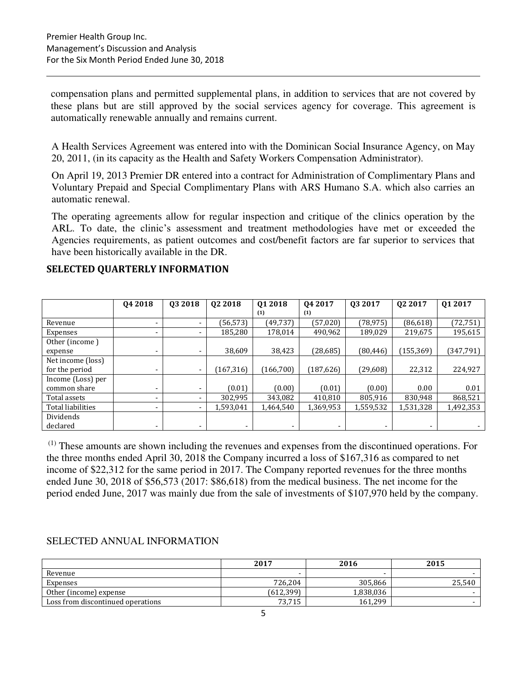compensation plans and permitted supplemental plans, in addition to services that are not covered by these plans but are still approved by the social services agency for coverage. This agreement is automatically renewable annually and remains current.

A Health Services Agreement was entered into with the Dominican Social Insurance Agency, on May 20, 2011, (in its capacity as the Health and Safety Workers Compensation Administrator).

On April 19, 2013 Premier DR entered into a contract for Administration of Complimentary Plans and Voluntary Prepaid and Special Complimentary Plans with ARS Humano S.A. which also carries an automatic renewal.

The operating agreements allow for regular inspection and critique of the clinics operation by the ARL. To date, the clinic's assessment and treatment methodologies have met or exceeded the Agencies requirements, as patient outcomes and cost/benefit factors are far superior to services that have been historically available in the DR.

|                   | Q4 2018                  | Q3 2018 | 02 2018    | 01 2018    | 04 2017    | 03 2017   | Q <sub>2</sub> 2017 | Q1 2017   |
|-------------------|--------------------------|---------|------------|------------|------------|-----------|---------------------|-----------|
|                   |                          |         |            | (1)        | (1)        |           |                     |           |
| Revenue           |                          |         | (56, 573)  | (49, 737)  | (57, 020)  | (78, 975) | (86, 618)           | (72, 751) |
| Expenses          |                          |         | 185.280    | 178.014    | 490,962    | 189,029   | 219.675             | 195,615   |
| Other (income)    |                          |         |            |            |            |           |                     |           |
| expense           | -                        |         | 38,609     | 38,423     | (28, 685)  | (80, 446) | (155, 369)          | (347,791) |
| Net income (loss) |                          |         |            |            |            |           |                     |           |
| for the period    |                          |         | (167, 316) | (166, 700) | (187, 626) | (29,608)  | 22,312              | 224,927   |
| Income (Loss) per |                          |         |            |            |            |           |                     |           |
| common share      |                          |         | (0.01)     | (0.00)     | (0.01)     | (0.00)    | 0.00                | 0.01      |
| Total assets      | ۰                        |         | 302,995    | 343,082    | 410,810    | 805,916   | 830,948             | 868,521   |
| Total liabilities | $\overline{\phantom{0}}$ |         | 1,593,041  | 1,464,540  | 1,369,953  | 1,559,532 | 1,531,328           | 1,492,353 |
| Dividends         |                          |         |            |            |            |           |                     |           |
| declared          |                          |         |            | -          | -          |           |                     |           |

# **SELECTED QUARTERLY INFORMATION**

 $<sup>(1)</sup>$  These amounts are shown including the revenues and expenses from the discontinued operations. For</sup> the three months ended April 30, 2018 the Company incurred a loss of \$167,316 as compared to net income of \$22,312 for the same period in 2017. The Company reported revenues for the three months ended June 30, 2018 of \$56,573 (2017: \$86,618) from the medical business. The net income for the period ended June, 2017 was mainly due from the sale of investments of \$107,970 held by the company.

# SELECTED ANNUAL INFORMATION

|                                   | 2017      | 2016                     | 2015   |
|-----------------------------------|-----------|--------------------------|--------|
| Revenue                           |           | $\overline{\phantom{0}}$ |        |
| Expenses                          | 726,204   | 305.866                  | 25,540 |
| Other (income) expense            | (612,399) | 1,838,036                |        |
| Loss from discontinued operations | 73,715    | 161.299                  |        |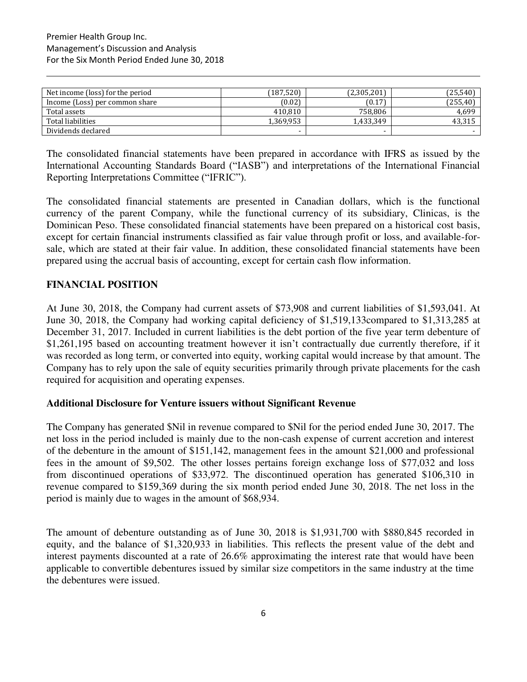| Net income (loss) for the period | (187,520) | (2,305,201) | (25, 540) |
|----------------------------------|-----------|-------------|-----------|
| Income (Loss) per common share   | (0.02)    | (0.17)      | (255, 40) |
| Total assets                     | 410,810   | 758,806     | 4,699     |
| Total liabilities                | 1,369,953 | 1,433,349   | 43,315    |
| Dividends declared               |           | -           |           |

The consolidated financial statements have been prepared in accordance with IFRS as issued by the International Accounting Standards Board ("IASB") and interpretations of the International Financial Reporting Interpretations Committee ("IFRIC").

The consolidated financial statements are presented in Canadian dollars, which is the functional currency of the parent Company, while the functional currency of its subsidiary, Clinicas, is the Dominican Peso. These consolidated financial statements have been prepared on a historical cost basis, except for certain financial instruments classified as fair value through profit or loss, and available-forsale, which are stated at their fair value. In addition, these consolidated financial statements have been prepared using the accrual basis of accounting, except for certain cash flow information.

# **FINANCIAL POSITION**

At June 30, 2018, the Company had current assets of \$73,908 and current liabilities of \$1,593,041. At June 30, 2018, the Company had working capital deficiency of \$1,519,133compared to \$1,313,285 at December 31, 2017. Included in current liabilities is the debt portion of the five year term debenture of \$1,261,195 based on accounting treatment however it isn't contractually due currently therefore, if it was recorded as long term, or converted into equity, working capital would increase by that amount. The Company has to rely upon the sale of equity securities primarily through private placements for the cash required for acquisition and operating expenses.

# **Additional Disclosure for Venture issuers without Significant Revenue**

The Company has generated \$Nil in revenue compared to \$Nil for the period ended June 30, 2017. The net loss in the period included is mainly due to the non-cash expense of current accretion and interest of the debenture in the amount of \$151,142, management fees in the amount \$21,000 and professional fees in the amount of \$9,502. The other losses pertains foreign exchange loss of \$77,032 and loss from discontinued operations of \$33,972. The discontinued operation has generated \$106,310 in revenue compared to \$159,369 during the six month period ended June 30, 2018. The net loss in the period is mainly due to wages in the amount of \$68,934.

The amount of debenture outstanding as of June 30, 2018 is \$1,931,700 with \$880,845 recorded in equity, and the balance of \$1,320,933 in liabilities. This reflects the present value of the debt and interest payments discounted at a rate of 26.6% approximating the interest rate that would have been applicable to convertible debentures issued by similar size competitors in the same industry at the time the debentures were issued.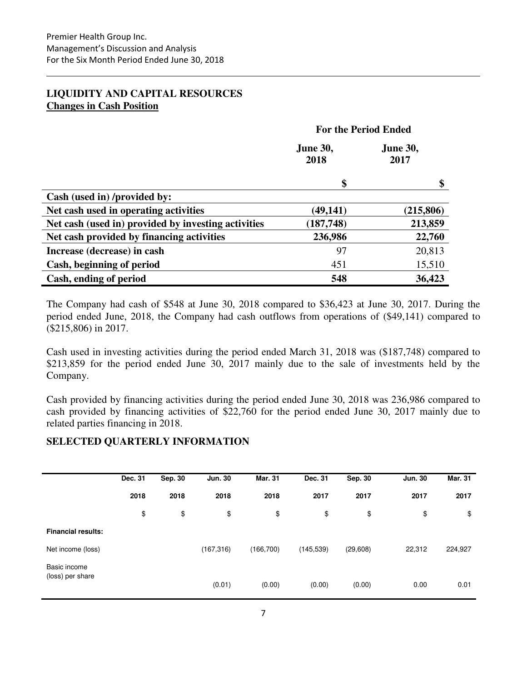# **LIQUIDITY AND CAPITAL RESOURCES Changes in Cash Position**

|                                                     | <b>For the Period Ended</b> |                         |  |  |
|-----------------------------------------------------|-----------------------------|-------------------------|--|--|
|                                                     | <b>June 30,</b><br>2018     | <b>June 30,</b><br>2017 |  |  |
|                                                     | \$                          | \$                      |  |  |
| Cash (used in) /provided by:                        |                             |                         |  |  |
| Net cash used in operating activities               | (49, 141)                   | (215, 806)              |  |  |
| Net cash (used in) provided by investing activities | (187, 748)                  | 213,859                 |  |  |
| Net cash provided by financing activities           | 236,986                     | 22,760                  |  |  |
| Increase (decrease) in cash                         | 97                          | 20,813                  |  |  |
| Cash, beginning of period                           | 451                         | 15,510                  |  |  |
| Cash, ending of period                              | 548                         | 36,423                  |  |  |

The Company had cash of \$548 at June 30, 2018 compared to \$36,423 at June 30, 2017. During the period ended June, 2018, the Company had cash outflows from operations of (\$49,141) compared to (\$215,806) in 2017.

Cash used in investing activities during the period ended March 31, 2018 was (\$187,748) compared to \$213,859 for the period ended June 30, 2017 mainly due to the sale of investments held by the Company.

Cash provided by financing activities during the period ended June 30, 2018 was 236,986 compared to cash provided by financing activities of \$22,760 for the period ended June 30, 2017 mainly due to related parties financing in 2018.

# **SELECTED QUARTERLY INFORMATION**

|                           | Dec. 31 | Sep. 30 | <b>Jun. 30</b> | <b>Mar. 31</b> | Dec. 31    | Sep. 30  | <b>Jun. 30</b> | <b>Mar. 31</b> |
|---------------------------|---------|---------|----------------|----------------|------------|----------|----------------|----------------|
|                           | 2018    | 2018    | 2018           | 2018           | 2017       | 2017     | 2017           | 2017           |
|                           | \$      | \$      | \$             | \$             | \$         | \$       | \$             | \$             |
| <b>Financial results:</b> |         |         |                |                |            |          |                |                |
| Net income (loss)         |         |         | (167, 316)     | (166, 700)     | (145, 539) | (29,608) | 22,312         | 224,927        |
| Basic income              |         |         |                |                |            |          |                |                |
| (loss) per share          |         |         | (0.01)         | (0.00)         | (0.00)     | (0.00)   | 0.00           | 0.01           |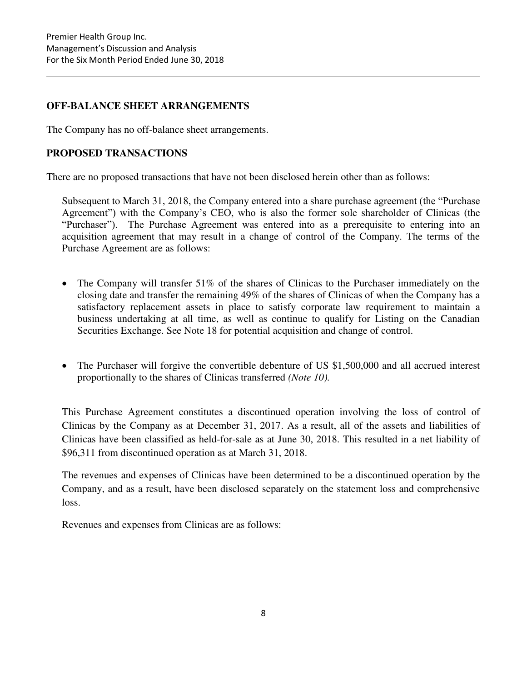# **OFF-BALANCE SHEET ARRANGEMENTS**

The Company has no off-balance sheet arrangements.

# **PROPOSED TRANSACTIONS**

There are no proposed transactions that have not been disclosed herein other than as follows:

Subsequent to March 31, 2018, the Company entered into a share purchase agreement (the "Purchase Agreement") with the Company's CEO, who is also the former sole shareholder of Clinicas (the "Purchaser"). The Purchase Agreement was entered into as a prerequisite to entering into an acquisition agreement that may result in a change of control of the Company. The terms of the Purchase Agreement are as follows:

- The Company will transfer 51% of the shares of Clinicas to the Purchaser immediately on the closing date and transfer the remaining 49% of the shares of Clinicas of when the Company has a satisfactory replacement assets in place to satisfy corporate law requirement to maintain a business undertaking at all time, as well as continue to qualify for Listing on the Canadian Securities Exchange. See Note 18 for potential acquisition and change of control.
- The Purchaser will forgive the convertible debenture of US \$1,500,000 and all accrued interest proportionally to the shares of Clinicas transferred *(Note 10).*

This Purchase Agreement constitutes a discontinued operation involving the loss of control of Clinicas by the Company as at December 31, 2017. As a result, all of the assets and liabilities of Clinicas have been classified as held-for-sale as at June 30, 2018. This resulted in a net liability of \$96,311 from discontinued operation as at March 31, 2018.

The revenues and expenses of Clinicas have been determined to be a discontinued operation by the Company, and as a result, have been disclosed separately on the statement loss and comprehensive loss.

Revenues and expenses from Clinicas are as follows: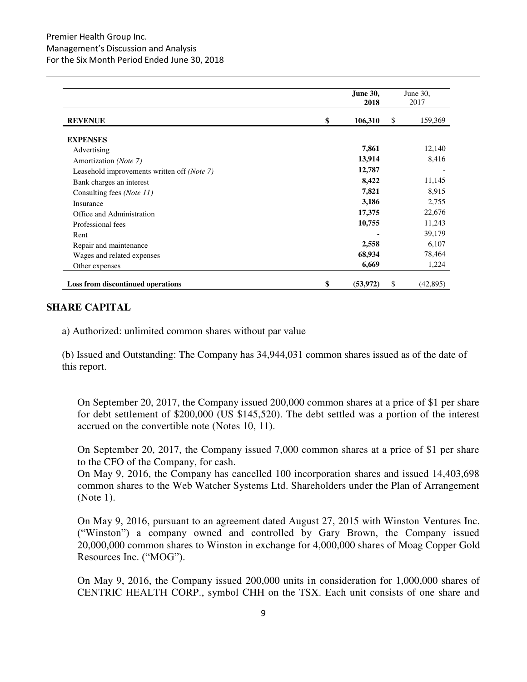|                                             | June 30,<br>2018 | June 30,<br>2017 |
|---------------------------------------------|------------------|------------------|
| <b>REVENUE</b>                              | \$<br>106,310    | 159,369<br>\$    |
| <b>EXPENSES</b>                             |                  |                  |
| Advertising                                 | 7,861            | 12,140           |
| Amortization (Note 7)                       | 13,914           | 8,416            |
| Leasehold improvements written off (Note 7) | 12,787           |                  |
| Bank charges an interest                    | 8,422            | 11,145           |
| Consulting fees ( <i>Note 11</i> )          | 7,821            | 8,915            |
| Insurance                                   | 3,186            | 2,755            |
| Office and Administration                   | 17,375           | 22,676           |
| Professional fees                           | 10,755           | 11,243           |
| Rent                                        |                  | 39,179           |
| Repair and maintenance                      | 2,558            | 6,107            |
| Wages and related expenses                  | 68,934           | 78,464           |
| Other expenses                              | 6,669            | 1,224            |
| Loss from discontinued operations           | \$<br>(53, 972)  | (42, 895)<br>\$  |

### **SHARE CAPITAL**

a) Authorized: unlimited common shares without par value

(b) Issued and Outstanding: The Company has 34,944,031 common shares issued as of the date of this report.

On September 20, 2017, the Company issued 200,000 common shares at a price of \$1 per share for debt settlement of \$200,000 (US \$145,520). The debt settled was a portion of the interest accrued on the convertible note (Notes 10, 11).

On September 20, 2017, the Company issued 7,000 common shares at a price of \$1 per share to the CFO of the Company, for cash.

On May 9, 2016, the Company has cancelled 100 incorporation shares and issued 14,403,698 common shares to the Web Watcher Systems Ltd. Shareholders under the Plan of Arrangement (Note 1).

On May 9, 2016, pursuant to an agreement dated August 27, 2015 with Winston Ventures Inc. ("Winston") a company owned and controlled by Gary Brown, the Company issued 20,000,000 common shares to Winston in exchange for 4,000,000 shares of Moag Copper Gold Resources Inc. ("MOG").

On May 9, 2016, the Company issued 200,000 units in consideration for 1,000,000 shares of CENTRIC HEALTH CORP., symbol CHH on the TSX. Each unit consists of one share and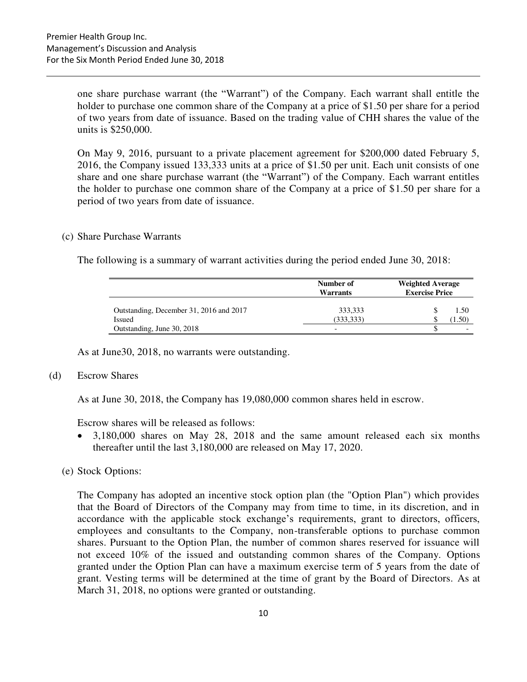one share purchase warrant (the "Warrant") of the Company. Each warrant shall entitle the holder to purchase one common share of the Company at a price of \$1.50 per share for a period of two years from date of issuance. Based on the trading value of CHH shares the value of the units is \$250,000.

On May 9, 2016, pursuant to a private placement agreement for \$200,000 dated February 5, 2016, the Company issued 133,333 units at a price of \$1.50 per unit. Each unit consists of one share and one share purchase warrant (the "Warrant") of the Company. Each warrant entitles the holder to purchase one common share of the Company at a price of \$1.50 per share for a period of two years from date of issuance.

#### (c) Share Purchase Warrants

The following is a summary of warrant activities during the period ended June 30, 2018:

|                                         | Number of<br>Warrants    | <b>Weighted Average</b><br><b>Exercise Price</b> |
|-----------------------------------------|--------------------------|--------------------------------------------------|
| Outstanding, December 31, 2016 and 2017 | 333,333                  | 1.50                                             |
| Issued                                  | (333, 333)               | $1.50^{\circ}$                                   |
| Outstanding, June 30, 2018              | $\overline{\phantom{0}}$ |                                                  |

As at June30, 2018, no warrants were outstanding.

#### (d) Escrow Shares

As at June 30, 2018, the Company has 19,080,000 common shares held in escrow.

Escrow shares will be released as follows:

- 3,180,000 shares on May 28, 2018 and the same amount released each six months thereafter until the last 3,180,000 are released on May 17, 2020.
- (e) Stock Options:

The Company has adopted an incentive stock option plan (the "Option Plan") which provides that the Board of Directors of the Company may from time to time, in its discretion, and in accordance with the applicable stock exchange's requirements, grant to directors, officers, employees and consultants to the Company, non-transferable options to purchase common shares. Pursuant to the Option Plan, the number of common shares reserved for issuance will not exceed 10% of the issued and outstanding common shares of the Company. Options granted under the Option Plan can have a maximum exercise term of 5 years from the date of grant. Vesting terms will be determined at the time of grant by the Board of Directors. As at March 31, 2018, no options were granted or outstanding.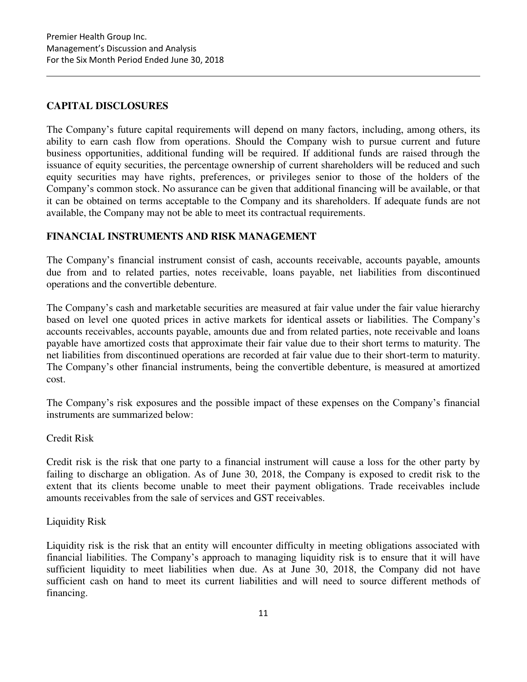# **CAPITAL DISCLOSURES**

The Company's future capital requirements will depend on many factors, including, among others, its ability to earn cash flow from operations. Should the Company wish to pursue current and future business opportunities, additional funding will be required. If additional funds are raised through the issuance of equity securities, the percentage ownership of current shareholders will be reduced and such equity securities may have rights, preferences, or privileges senior to those of the holders of the Company's common stock. No assurance can be given that additional financing will be available, or that it can be obtained on terms acceptable to the Company and its shareholders. If adequate funds are not available, the Company may not be able to meet its contractual requirements.

# **FINANCIAL INSTRUMENTS AND RISK MANAGEMENT**

The Company's financial instrument consist of cash, accounts receivable, accounts payable, amounts due from and to related parties, notes receivable, loans payable, net liabilities from discontinued operations and the convertible debenture.

The Company's cash and marketable securities are measured at fair value under the fair value hierarchy based on level one quoted prices in active markets for identical assets or liabilities. The Company's accounts receivables, accounts payable, amounts due and from related parties, note receivable and loans payable have amortized costs that approximate their fair value due to their short terms to maturity. The net liabilities from discontinued operations are recorded at fair value due to their short-term to maturity. The Company's other financial instruments, being the convertible debenture, is measured at amortized cost.

The Company's risk exposures and the possible impact of these expenses on the Company's financial instruments are summarized below:

# Credit Risk

Credit risk is the risk that one party to a financial instrument will cause a loss for the other party by failing to discharge an obligation. As of June 30, 2018, the Company is exposed to credit risk to the extent that its clients become unable to meet their payment obligations. Trade receivables include amounts receivables from the sale of services and GST receivables.

# Liquidity Risk

Liquidity risk is the risk that an entity will encounter difficulty in meeting obligations associated with financial liabilities. The Company's approach to managing liquidity risk is to ensure that it will have sufficient liquidity to meet liabilities when due. As at June 30, 2018, the Company did not have sufficient cash on hand to meet its current liabilities and will need to source different methods of financing.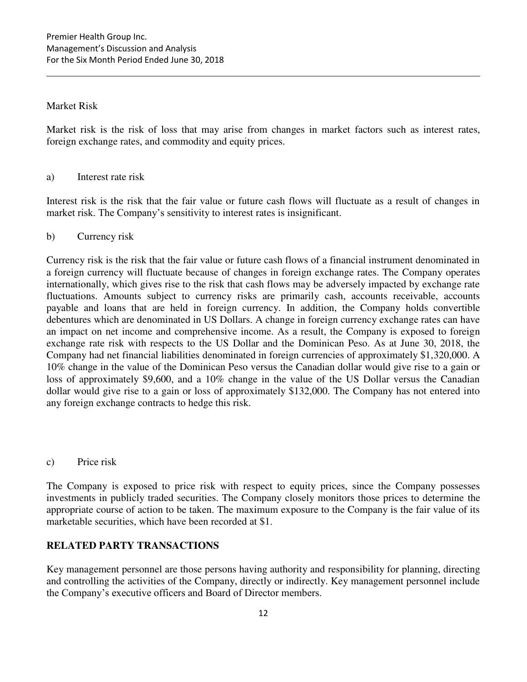# Market Risk

Market risk is the risk of loss that may arise from changes in market factors such as interest rates, foreign exchange rates, and commodity and equity prices.

### a) Interest rate risk

Interest risk is the risk that the fair value or future cash flows will fluctuate as a result of changes in market risk. The Company's sensitivity to interest rates is insignificant.

### b) Currency risk

Currency risk is the risk that the fair value or future cash flows of a financial instrument denominated in a foreign currency will fluctuate because of changes in foreign exchange rates. The Company operates internationally, which gives rise to the risk that cash flows may be adversely impacted by exchange rate fluctuations. Amounts subject to currency risks are primarily cash, accounts receivable, accounts payable and loans that are held in foreign currency. In addition, the Company holds convertible debentures which are denominated in US Dollars. A change in foreign currency exchange rates can have an impact on net income and comprehensive income. As a result, the Company is exposed to foreign exchange rate risk with respects to the US Dollar and the Dominican Peso. As at June 30, 2018, the Company had net financial liabilities denominated in foreign currencies of approximately \$1,320,000. A 10% change in the value of the Dominican Peso versus the Canadian dollar would give rise to a gain or loss of approximately \$9,600, and a 10% change in the value of the US Dollar versus the Canadian dollar would give rise to a gain or loss of approximately \$132,000. The Company has not entered into any foreign exchange contracts to hedge this risk.

#### c) Price risk

The Company is exposed to price risk with respect to equity prices, since the Company possesses investments in publicly traded securities. The Company closely monitors those prices to determine the appropriate course of action to be taken. The maximum exposure to the Company is the fair value of its marketable securities, which have been recorded at \$1.

# **RELATED PARTY TRANSACTIONS**

Key management personnel are those persons having authority and responsibility for planning, directing and controlling the activities of the Company, directly or indirectly. Key management personnel include the Company's executive officers and Board of Director members.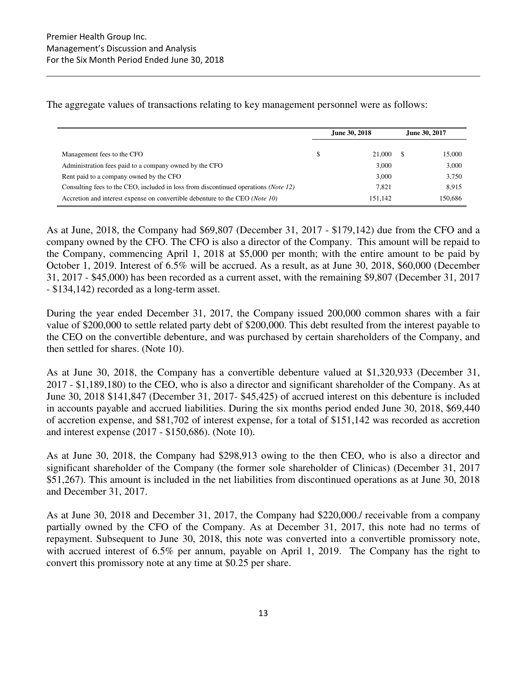The aggregate values of transactions relating to key management personnel were as follows:

|                                                                                              | June 30, 2018 |         | June 30, 2017 |         |
|----------------------------------------------------------------------------------------------|---------------|---------|---------------|---------|
| Management fees to the CFO                                                                   | S             | 21,000  |               | 15,000  |
| Administration fees paid to a company owned by the CFO                                       |               | 3,000   |               | 3,000   |
| Rent paid to a company owned by the CFO                                                      |               | 3,000   |               | 3,750   |
| Consulting fees to the CEO, included in loss from discontinued operations ( <i>Note 12</i> ) |               | 7.821   |               | 8.915   |
| Accretion and interest expense on convertible debenture to the CEO (Note 10)                 |               | 151.142 |               | 150.686 |

As at June, 2018, the Company had \$69,807 (December 31, 2017 - \$179,142) due from the CFO and a company owned by the CFO. The CFO is also a director of the Company. This amount will be repaid to the Company, commencing April 1, 2018 at \$5,000 per month; with the entire amount to be paid by October 1, 2019. Interest of 6.5% will be accrued. As a result, as at June 30, 2018, \$60,000 (December 31, 2017 - \$45,000) has been recorded as a current asset, with the remaining \$9,807 (December 31, 2017 - \$134,142) recorded as a long-term asset.

During the year ended December 31, 2017, the Company issued 200,000 common shares with a fair value of \$200,000 to settle related party debt of \$200,000. This debt resulted from the interest payable to the CEO on the convertible debenture, and was purchased by certain shareholders of the Company, and then settled for shares. (Note 10).

As at June 30, 2018, the Company has a convertible debenture valued at \$1,320,933 (December 31, 2017 - \$1,189,180) to the CEO, who is also a director and significant shareholder of the Company. As at June 30, 2018 \$141,847 (December 31, 2017- \$45,425) of accrued interest on this debenture is included in accounts payable and accrued liabilities. During the six months period ended June 30, 2018, \$69,440 of accretion expense, and \$81,702 of interest expense, for a total of \$151,142 was recorded as accretion and interest expense (2017 - \$150,686). (Note 10).

As at June 30, 2018, the Company had \$298,913 owing to the then CEO, who is also a director and significant shareholder of the Company (the former sole shareholder of Clinicas) (December 31, 2017 \$51,267). This amount is included in the net liabilities from discontinued operations as at June 30, 2018 and December 31, 2017.

As at June 30, 2018 and December 31, 2017, the Company had \$220,000./ receivable from a company partially owned by the CFO of the Company. As at December 31, 2017, this note had no terms of repayment. Subsequent to June 30, 2018, this note was converted into a convertible promissory note, with accrued interest of 6.5% per annum, payable on April 1, 2019. The Company has the right to convert this promissory note at any time at \$0.25 per share.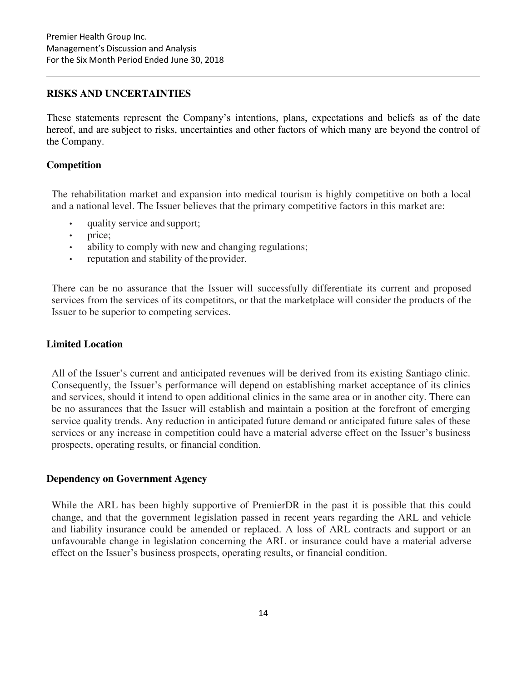# **RISKS AND UNCERTAINTIES**

These statements represent the Company's intentions, plans, expectations and beliefs as of the date hereof, and are subject to risks, uncertainties and other factors of which many are beyond the control of the Company.

# **Competition**

The rehabilitation market and expansion into medical tourism is highly competitive on both a local and a national level. The Issuer believes that the primary competitive factors in this market are:

- quality service and support;
- price;
- ability to comply with new and changing regulations;
- reputation and stability of the provider.

There can be no assurance that the Issuer will successfully differentiate its current and proposed services from the services of its competitors, or that the marketplace will consider the products of the Issuer to be superior to competing services.

# **Limited Location**

All of the Issuer's current and anticipated revenues will be derived from its existing Santiago clinic. Consequently, the Issuer's performance will depend on establishing market acceptance of its clinics and services, should it intend to open additional clinics in the same area or in another city. There can be no assurances that the Issuer will establish and maintain a position at the forefront of emerging service quality trends. Any reduction in anticipated future demand or anticipated future sales of these services or any increase in competition could have a material adverse effect on the Issuer's business prospects, operating results, or financial condition.

# **Dependency on Government Agency**

While the ARL has been highly supportive of PremierDR in the past it is possible that this could change, and that the government legislation passed in recent years regarding the ARL and vehicle and liability insurance could be amended or replaced. A loss of ARL contracts and support or an unfavourable change in legislation concerning the ARL or insurance could have a material adverse effect on the Issuer's business prospects, operating results, or financial condition.